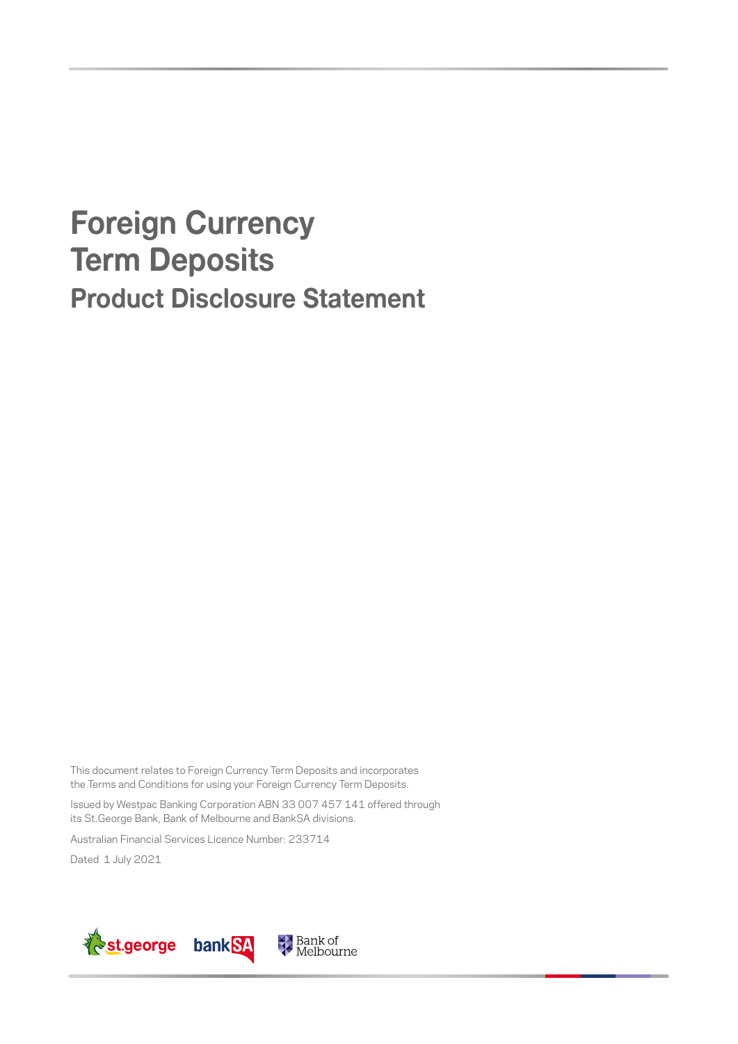# **Foreign Currency Term Deposits Product Disclosure Statement**

This document relates to Foreign Currency Term Deposits and incorporates the Terms and Conditions for using your Foreign Currency Term Deposits.

Issued by Westpac Banking Corporation ABN 33 007 457 141 offered through its St.George Bank, Bank of Melbourne and BankSA divisions.

Australian Financial Services Licence Number: 233714

Dated 1 July 2021

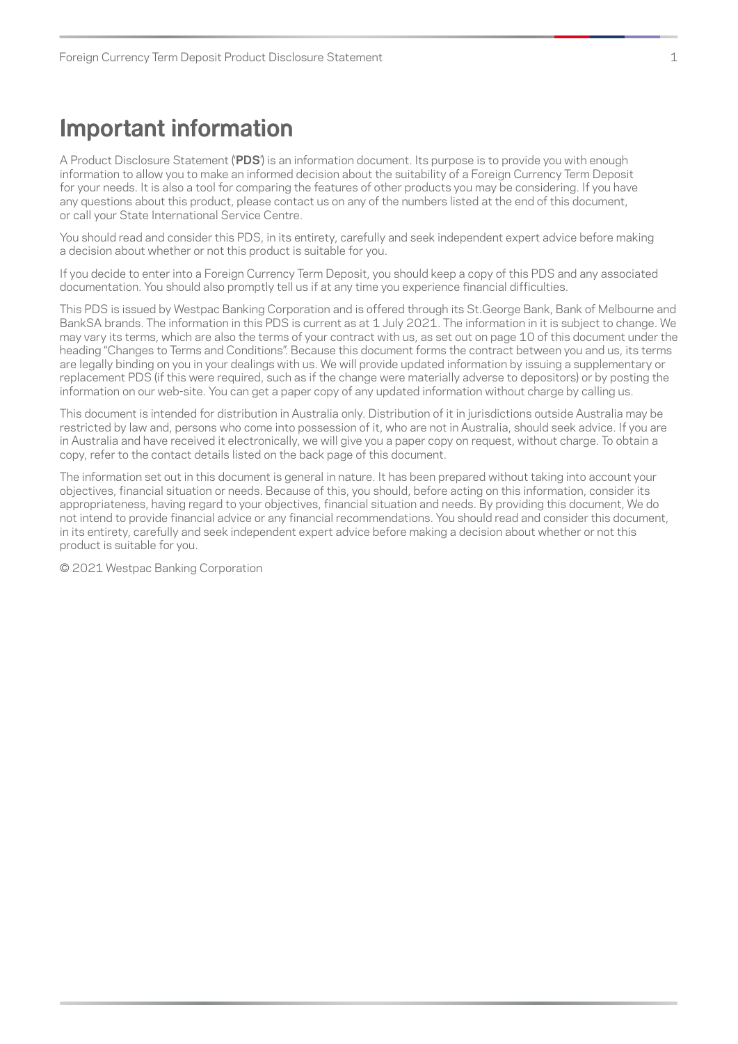## <span id="page-2-0"></span>**Important information**

A Product Disclosure Statement ('**PDS**') is an information document. Its purpose is to provide you with enough information to allow you to make an informed decision about the suitability of a Foreign Currency Term Deposit for your needs. It is also a tool for comparing the features of other products you may be considering. If you have any questions about this product, please contact us on any of the numbers listed at the end of this document, or call your State International Service Centre.

You should read and consider this PDS, in its entirety, carefully and seek independent expert advice before making a decision about whether or not this product is suitable for you.

If you decide to enter into a Foreign Currency Term Deposit, you should keep a copy of this PDS and any associated documentation. You should also promptly tell us if at any time you experience financial difficulties.

This PDS is issued by Westpac Banking Corporation and is offered through its St.George Bank, Bank of Melbourne and BankSA brands. The information in this PDS is current as at 1 July 2021. The information in it is subject to change. We may vary its terms, which are also the terms of your contract with us, as set out on page 10 of this document under the heading "Changes to Terms and Conditions". Because this document forms the contract between you and us, its terms are legally binding on you in your dealings with us. We will provide updated information by issuing a supplementary or replacement PDS (if this were required, such as if the change were materially adverse to depositors) or by posting the information on our web-site. You can get a paper copy of any updated information without charge by calling us.

This document is intended for distribution in Australia only. Distribution of it in jurisdictions outside Australia may be restricted by law and, persons who come into possession of it, who are not in Australia, should seek advice. If you are in Australia and have received it electronically, we will give you a paper copy on request, without charge. To obtain a copy, refer to the contact details listed on the back page of this document.

The information set out in this document is general in nature. It has been prepared without taking into account your objectives, financial situation or needs. Because of this, you should, before acting on this information, consider its appropriateness, having regard to your objectives, financial situation and needs. By providing this document, We do not intend to provide financial advice or any financial recommendations. You should read and consider this document, in its entirety, carefully and seek independent expert advice before making a decision about whether or not this product is suitable for you.

© 2021 Westpac Banking Corporation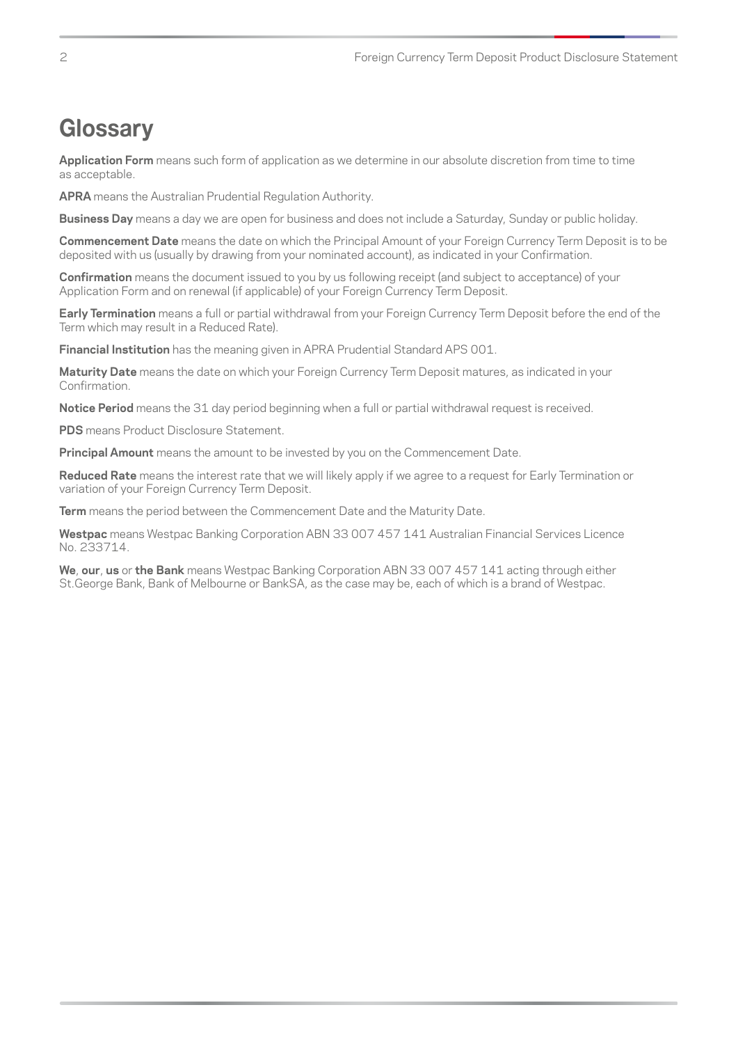## <span id="page-3-0"></span>**Glossary**

**Application Form** means such form of application as we determine in our absolute discretion from time to time as acceptable.

**APRA** means the Australian Prudential Regulation Authority.

**Business Day** means a day we are open for business and does not include a Saturday, Sunday or public holiday.

**Commencement Date** means the date on which the Principal Amount of your Foreign Currency Term Deposit is to be deposited with us (usually by drawing from your nominated account), as indicated in your Confirmation.

**Confirmation** means the document issued to you by us following receipt (and subject to acceptance) of your Application Form and on renewal (if applicable) of your Foreign Currency Term Deposit.

**Early Termination** means a full or partial withdrawal from your Foreign Currency Term Deposit before the end of the Term which may result in a Reduced Rate).

**Financial Institution** has the meaning given in APRA Prudential Standard APS 001.

**Maturity Date** means the date on which your Foreign Currency Term Deposit matures, as indicated in your Confirmation.

**Notice Period** means the 31 day period beginning when a full or partial withdrawal request is received.

**PDS** means Product Disclosure Statement.

**Principal Amount** means the amount to be invested by you on the Commencement Date.

**Reduced Rate** means the interest rate that we will likely apply if we agree to a request for Early Termination or variation of your Foreign Currency Term Deposit.

**Term** means the period between the Commencement Date and the Maturity Date.

**Westpac** means Westpac Banking Corporation ABN 33 007 457 141 Australian Financial Services Licence No. 233714.

**We**, **our**, **us** or **the Bank** means Westpac Banking Corporation ABN 33 007 457 141 acting through either St.George Bank, Bank of Melbourne or BankSA, as the case may be, each of which is a brand of Westpac.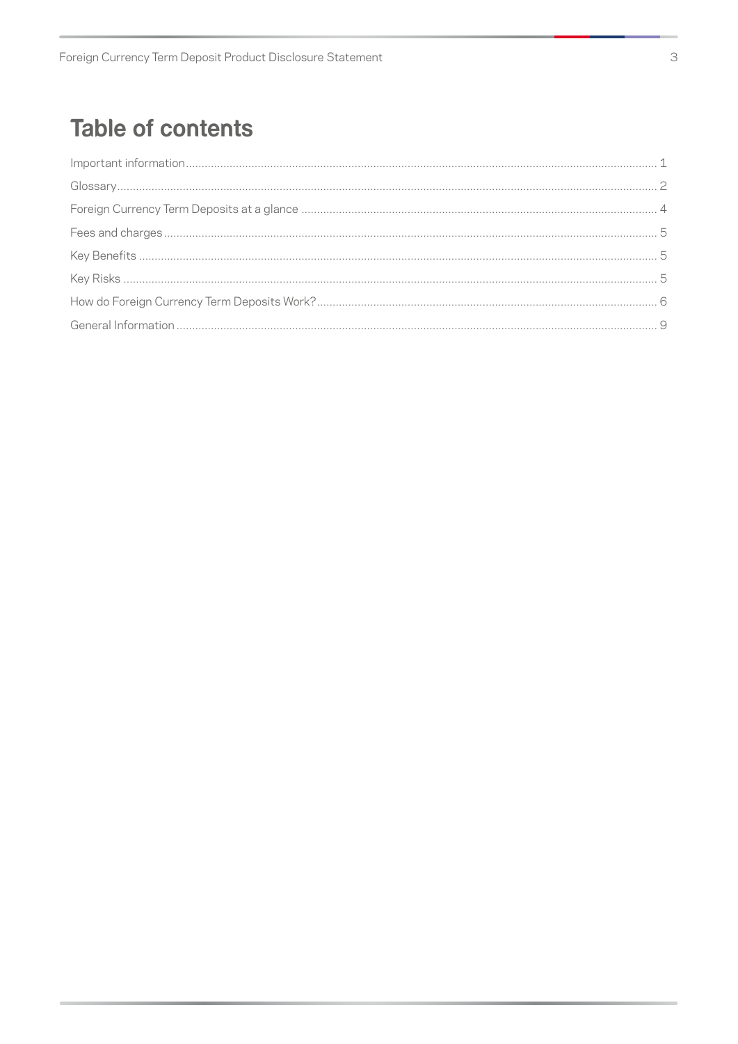## **Table of contents**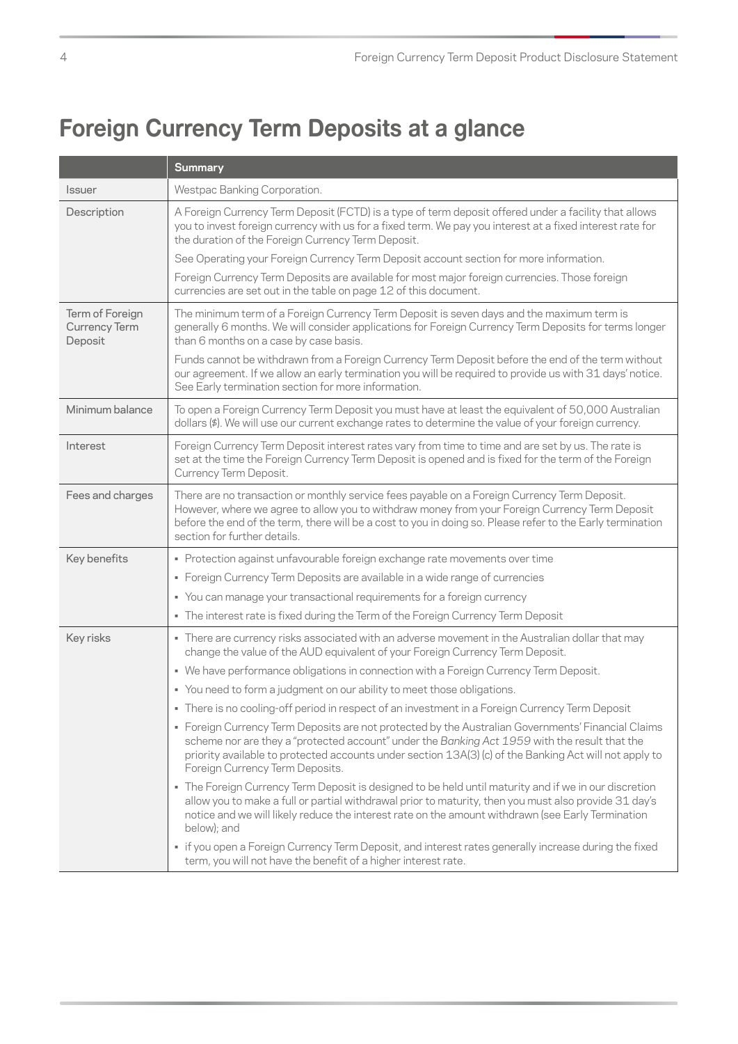## <span id="page-5-0"></span>**Foreign Currency Term Deposits at a glance**

|                                                    | <b>Summary</b>                                                                                                                                                                                                                                                                                                                                   |
|----------------------------------------------------|--------------------------------------------------------------------------------------------------------------------------------------------------------------------------------------------------------------------------------------------------------------------------------------------------------------------------------------------------|
| <b>Issuer</b>                                      | Westpac Banking Corporation.                                                                                                                                                                                                                                                                                                                     |
| Description                                        | A Foreign Currency Term Deposit (FCTD) is a type of term deposit offered under a facility that allows<br>you to invest foreign currency with us for a fixed term. We pay you interest at a fixed interest rate for<br>the duration of the Foreign Currency Term Deposit.                                                                         |
|                                                    | See Operating your Foreign Currency Term Deposit account section for more information.                                                                                                                                                                                                                                                           |
|                                                    | Foreign Currency Term Deposits are available for most major foreign currencies. Those foreign<br>currencies are set out in the table on page 12 of this document.                                                                                                                                                                                |
| Term of Foreign<br><b>Currency Term</b><br>Deposit | The minimum term of a Foreign Currency Term Deposit is seven days and the maximum term is<br>generally 6 months. We will consider applications for Foreign Currency Term Deposits for terms longer<br>than 6 months on a case by case basis.                                                                                                     |
|                                                    | Funds cannot be withdrawn from a Foreign Currency Term Deposit before the end of the term without<br>our agreement. If we allow an early termination you will be required to provide us with 31 days' notice.<br>See Early termination section for more information.                                                                             |
| Minimum balance                                    | To open a Foreign Currency Term Deposit you must have at least the equivalent of 50,000 Australian<br>dollars (\$). We will use our current exchange rates to determine the value of your foreign currency.                                                                                                                                      |
| Interest                                           | Foreign Currency Term Deposit interest rates vary from time to time and are set by us. The rate is<br>set at the time the Foreign Currency Term Deposit is opened and is fixed for the term of the Foreign<br>Currency Term Deposit.                                                                                                             |
| Fees and charges                                   | There are no transaction or monthly service fees payable on a Foreign Currency Term Deposit.<br>However, where we agree to allow you to withdraw money from your Foreign Currency Term Deposit<br>before the end of the term, there will be a cost to you in doing so. Please refer to the Early termination<br>section for further details.     |
| Key benefits                                       | • Protection against unfavourable foreign exchange rate movements over time                                                                                                                                                                                                                                                                      |
|                                                    | • Foreign Currency Term Deposits are available in a wide range of currencies                                                                                                                                                                                                                                                                     |
|                                                    | You can manage your transactional requirements for a foreign currency                                                                                                                                                                                                                                                                            |
|                                                    | . The interest rate is fixed during the Term of the Foreign Currency Term Deposit                                                                                                                                                                                                                                                                |
| Key risks                                          | - There are currency risks associated with an adverse movement in the Australian dollar that may<br>change the value of the AUD equivalent of your Foreign Currency Term Deposit.                                                                                                                                                                |
|                                                    | . We have performance obligations in connection with a Foreign Currency Term Deposit.                                                                                                                                                                                                                                                            |
|                                                    | • You need to form a judgment on our ability to meet those obligations.                                                                                                                                                                                                                                                                          |
|                                                    | There is no cooling-off period in respect of an investment in a Foreign Currency Term Deposit                                                                                                                                                                                                                                                    |
|                                                    | • Foreign Currency Term Deposits are not protected by the Australian Governments' Financial Claims<br>scheme nor are they a "protected account" under the Banking Act 1959 with the result that the<br>priority available to protected accounts under section 13A(3) (c) of the Banking Act will not apply to<br>Foreign Currency Term Deposits. |
|                                                    | • The Foreign Currency Term Deposit is designed to be held until maturity and if we in our discretion<br>allow you to make a full or partial withdrawal prior to maturity, then you must also provide 31 day's<br>notice and we will likely reduce the interest rate on the amount withdrawn (see Early Termination<br>below); and               |
|                                                    | · if you open a Foreign Currency Term Deposit, and interest rates generally increase during the fixed<br>term, you will not have the benefit of a higher interest rate.                                                                                                                                                                          |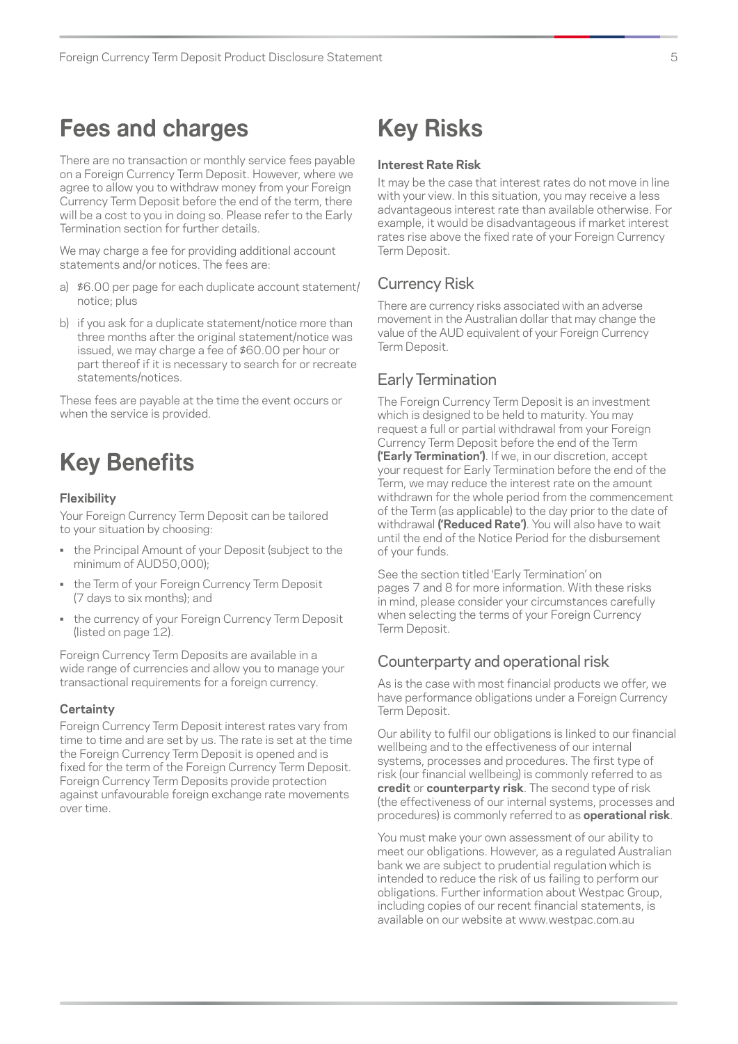## <span id="page-6-0"></span>**Fees and charges**

There are no transaction or monthly service fees payable on a Foreign Currency Term Deposit. However, where we agree to allow you to withdraw money from your Foreign Currency Term Deposit before the end of the term, there will be a cost to you in doing so. Please refer to the Early Termination section for further details.

We may charge a fee for providing additional account statements and/or notices. The fees are:

- a) \$6.00 per page for each duplicate account statement/ notice; plus
- b) if you ask for a duplicate statement/notice more than three months after the original statement/notice was issued, we may charge a fee of \$60.00 per hour or part thereof if it is necessary to search for or recreate statements/notices.

These fees are payable at the time the event occurs or when the service is provided.

## **Key Benefits**

#### **Flexibility**

Your Foreign Currency Term Deposit can be tailored to your situation by choosing:

- the Principal Amount of your Deposit (subject to the minimum of AUD50,000);
- the Term of your Foreign Currency Term Deposit (7 days to six months); and
- the currency of your Foreign Currency Term Deposit (listed on page 12).

Foreign Currency Term Deposits are available in a wide range of currencies and allow you to manage your transactional requirements for a foreign currency.

#### **Certainty**

Foreign Currency Term Deposit interest rates vary from time to time and are set by us. The rate is set at the time the Foreign Currency Term Deposit is opened and is fixed for the term of the Foreign Currency Term Deposit. Foreign Currency Term Deposits provide protection against unfavourable foreign exchange rate movements over time.

## **Key Risks**

#### **Interest Rate Risk**

It may be the case that interest rates do not move in line with your view. In this situation, you may receive a less advantageous interest rate than available otherwise. For example, it would be disadvantageous if market interest rates rise above the fixed rate of your Foreign Currency Term Deposit.

### Currency Risk

There are currency risks associated with an adverse movement in the Australian dollar that may change the value of the AUD equivalent of your Foreign Currency Term Deposit.

### Early Termination

The Foreign Currency Term Deposit is an investment which is designed to be held to maturity. You may request a full or partial withdrawal from your Foreign Currency Term Deposit before the end of the Term **('Early Termination')**. If we, in our discretion, accept your request for Early Termination before the end of the Term, we may reduce the interest rate on the amount withdrawn for the whole period from the commencement of the Term (as applicable) to the day prior to the date of withdrawal **('Reduced Rate')**. You will also have to wait until the end of the Notice Period for the disbursement of your funds.

See the section titled 'Early Termination' on pages 7 and 8 for more information. With these risks in mind, please consider your circumstances carefully when selecting the terms of your Foreign Currency Term Deposit.

### Counterparty and operational risk

As is the case with most financial products we offer, we have performance obligations under a Foreign Currency Term Deposit.

Our ability to fulfil our obligations is linked to our financial wellbeing and to the effectiveness of our internal systems, processes and procedures. The first type of risk (our financial wellbeing) is commonly referred to as **credit** or **counterparty risk**. The second type of risk (the effectiveness of our internal systems, processes and procedures) is commonly referred to as **operational risk**.

You must make your own assessment of our ability to meet our obligations. However, as a regulated Australian bank we are subject to prudential regulation which is intended to reduce the risk of us failing to perform our obligations. Further information about Westpac Group, including copies of our recent financial statements, is available on our website at [www.westpac.com.au](http://www.westpac.com.au)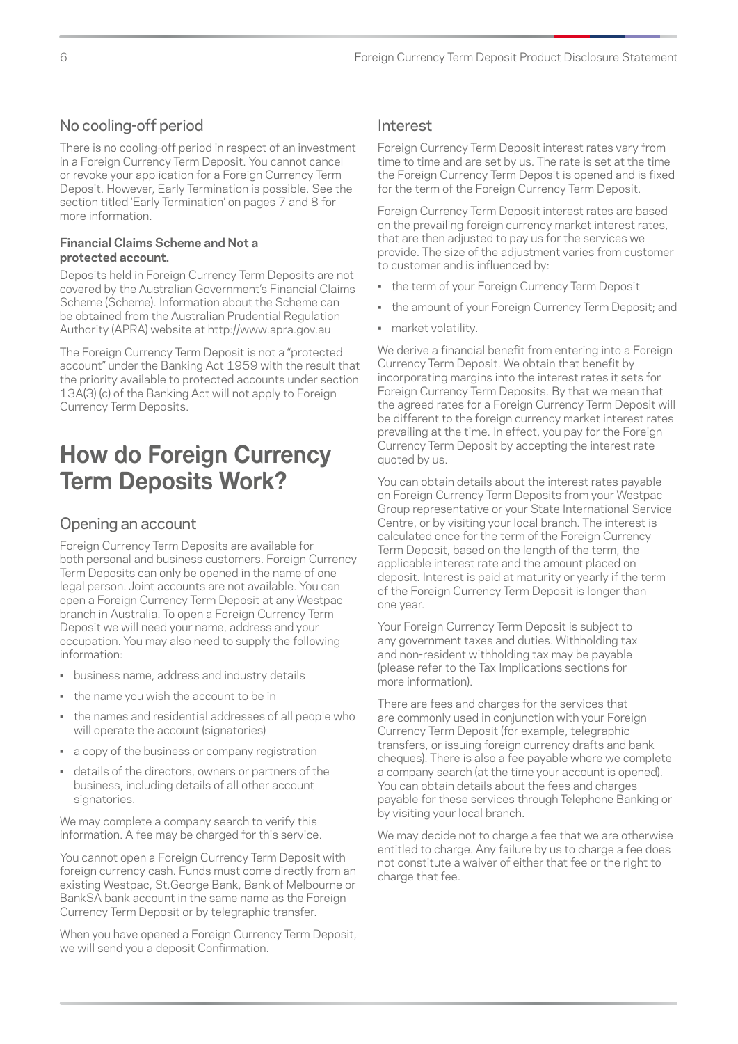## <span id="page-7-0"></span>No cooling-off period

There is no cooling-off period in respect of an investment in a Foreign Currency Term Deposit. You cannot cancel or revoke your application for a Foreign Currency Term Deposit. However, Early Termination is possible. See the section titled 'Early Termination' on pages 7 and 8 for more information.

#### **Financial Claims Scheme and Not a protected account.**

Deposits held in Foreign Currency Term Deposits are not covered by the Australian Government's Financial Claims Scheme (Scheme). Information about the Scheme can be obtained from the Australian Prudential Regulation Authority (APRA) website at <http://www.apra.gov.au>

The Foreign Currency Term Deposit is not a "protected" account" under the Banking Act 1959 with the result that the priority available to protected accounts under section 13A(3) (c) of the Banking Act will not apply to Foreign Currency Term Deposits.

## **How do Foreign Currency Term Deposits Work?**

## Opening an account

Foreign Currency Term Deposits are available for both personal and business customers. Foreign Currency Term Deposits can only be opened in the name of one legal person. Joint accounts are not available. You can open a Foreign Currency Term Deposit at any Westpac branch in Australia. To open a Foreign Currency Term Deposit we will need your name, address and your occupation. You may also need to supply the following information:

- business name, address and industry details
- the name you wish the account to be in
- the names and residential addresses of all people who will operate the account (signatories)
- a copy of the business or company registration
- details of the directors, owners or partners of the business, including details of all other account signatories.

We may complete a company search to verify this information. A fee may be charged for this service.

You cannot open a Foreign Currency Term Deposit with foreign currency cash. Funds must come directly from an existing Westpac, St.George Bank, Bank of Melbourne or BankSA bank account in the same name as the Foreign Currency Term Deposit or by telegraphic transfer.

When you have opened a Foreign Currency Term Deposit, we will send you a deposit Confirmation.

## Interest

Foreign Currency Term Deposit interest rates vary from time to time and are set by us. The rate is set at the time the Foreign Currency Term Deposit is opened and is fixed for the term of the Foreign Currency Term Deposit.

Foreign Currency Term Deposit interest rates are based on the prevailing foreign currency market interest rates, that are then adjusted to pay us for the services we provide. The size of the adjustment varies from customer to customer and is influenced by:

- the term of your Foreign Currency Term Deposit
- the amount of your Foreign Currency Term Deposit; and
- market volatility.

We derive a financial benefit from entering into a Foreign Currency Term Deposit. We obtain that benefit by incorporating margins into the interest rates it sets for Foreign Currency Term Deposits. By that we mean that the agreed rates for a Foreign Currency Term Deposit will be different to the foreign currency market interest rates prevailing at the time. In effect, you pay for the Foreign Currency Term Deposit by accepting the interest rate quoted by us.

You can obtain details about the interest rates payable on Foreign Currency Term Deposits from your Westpac Group representative or your State International Service Centre, or by visiting your local branch. The interest is calculated once for the term of the Foreign Currency Term Deposit, based on the length of the term, the applicable interest rate and the amount placed on deposit. Interest is paid at maturity or yearly if the term of the Foreign Currency Term Deposit is longer than one year.

Your Foreign Currency Term Deposit is subject to any government taxes and duties. Withholding tax and non-resident withholding tax may be payable (please refer to the Tax Implications sections for more information).

There are fees and charges for the services that are commonly used in conjunction with your Foreign Currency Term Deposit (for example, telegraphic transfers, or issuing foreign currency drafts and bank cheques). There is also a fee payable where we complete a company search (at the time your account is opened). You can obtain details about the fees and charges payable for these services through Telephone Banking or by visiting your local branch.

We may decide not to charge a fee that we are otherwise entitled to charge. Any failure by us to charge a fee does not constitute a waiver of either that fee or the right to charge that fee.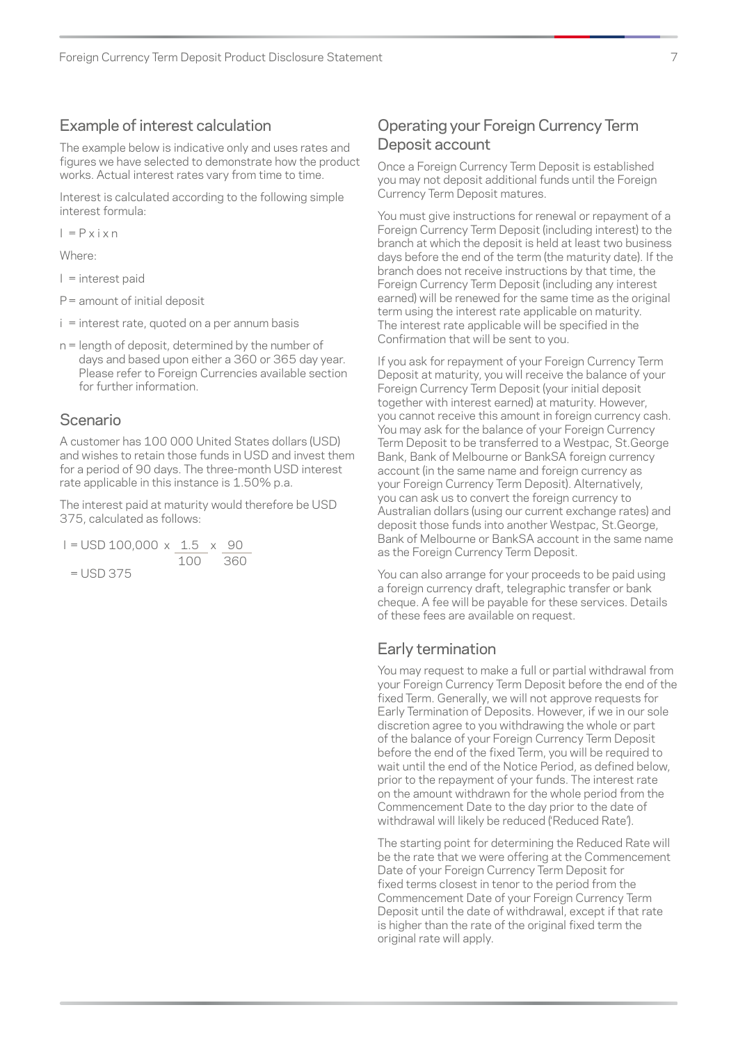### Example of interest calculation

The example below is indicative only and uses rates and figures we have selected to demonstrate how the product works. Actual interest rates vary from time to time.

Interest is calculated according to the following simple interest formula:

 $I = P x i x n$ 

Where:

I = interest paid

P= amount of initial deposit

- i = interest rate, quoted on a per annum basis
- n = length of deposit, determined by the number of days and based upon either a 360 or 365 day year. Please refer to Foreign Currencies available section for further information.

### Scenario

A customer has 100 000 United States dollars (USD) and wishes to retain those funds in USD and invest them for a period of 90 days. The three-month USD interest rate applicable in this instance is 1.50% p.a.

The interest paid at maturity would therefore be USD 375, calculated as follows:

$$
I = \text{USD 100,000 x} \quad \frac{1.5}{100} \times \frac{90}{360}
$$

$$
= \text{USD 375}
$$

## Operating your Foreign Currency Term Deposit account

Once a Foreign Currency Term Deposit is established you may not deposit additional funds until the Foreign Currency Term Deposit matures.

You must give instructions for renewal or repayment of a Foreign Currency Term Deposit (including interest) to the branch at which the deposit is held at least two business days before the end of the term (the maturity date). If the branch does not receive instructions by that time, the Foreign Currency Term Deposit (including any interest earned) will be renewed for the same time as the original term using the interest rate applicable on maturity. The interest rate applicable will be specified in the Confirmation that will be sent to you.

If you ask for repayment of your Foreign Currency Term Deposit at maturity, you will receive the balance of your Foreign Currency Term Deposit (your initial deposit together with interest earned) at maturity. However, you cannot receive this amount in foreign currency cash. You may ask for the balance of your Foreign Currency Term Deposit to be transferred to a Westpac, St.George Bank, Bank of Melbourne or BankSA foreign currency account (in the same name and foreign currency as your Foreign Currency Term Deposit). Alternatively, you can ask us to convert the foreign currency to Australian dollars (using our current exchange rates) and deposit those funds into another Westpac, St.George, Bank of Melbourne or BankSA account in the same name as the Foreign Currency Term Deposit.

You can also arrange for your proceeds to be paid using a foreign currency draft, telegraphic transfer or bank cheque. A fee will be payable for these services. Details of these fees are available on request.

### Early termination

You may request to make a full or partial withdrawal from your Foreign Currency Term Deposit before the end of the fixed Term. Generally, we will not approve requests for Early Termination of Deposits. However, if we in our sole discretion agree to you withdrawing the whole or part of the balance of your Foreign Currency Term Deposit before the end of the fixed Term, you will be required to wait until the end of the Notice Period, as defined below, prior to the repayment of your funds. The interest rate on the amount withdrawn for the whole period from the Commencement Date to the day prior to the date of withdrawal will likely be reduced ('Reduced Rate').

The starting point for determining the Reduced Rate will be the rate that we were offering at the Commencement Date of your Foreign Currency Term Deposit for fixed terms closest in tenor to the period from the Commencement Date of your Foreign Currency Term Deposit until the date of withdrawal, except if that rate is higher than the rate of the original fixed term the original rate will apply.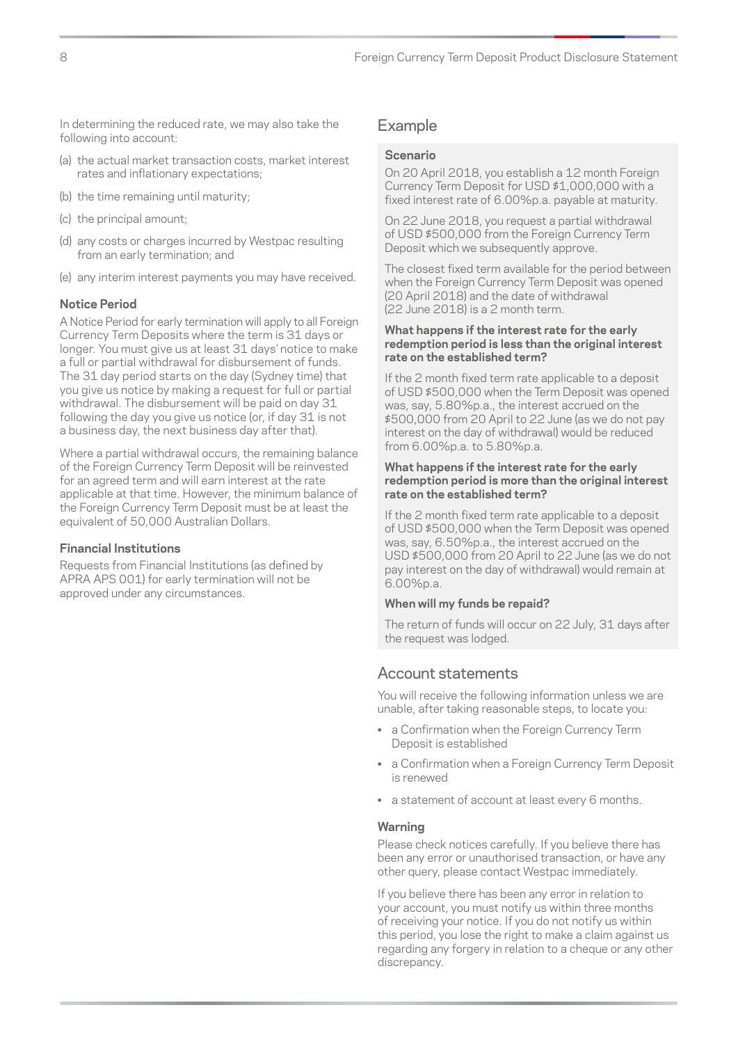In determining the reduced rate, we may also take the following into account:

- (a) the actual market transaction costs, market interest rates and inflationary expectations;
- (b) the time remaining until maturity;
- (c) the principal amount;
- (d) any costs or charges incurred by Westpac resulting from an early termination; and
- (e) any interim interest payments you may have received.

#### **Notice Period**

A Notice Period for early termination will apply to all Foreign Currency Term Deposits where the term is 31 days or longer. You must give us at least 31 days' notice to make a full or partial withdrawal for disbursement of funds. The 31 day period starts on the day (Sydney time) that you give us notice by making a request for full or partial withdrawal. The disbursement will be paid on day 31 following the day you give us notice (or, if day 31 is not a business day, the next business day after that).

Where a partial withdrawal occurs, the remaining balance of the Foreign Currency Term Deposit will be reinvested for an agreed term and will earn interest at the rate applicable at that time. However, the minimum balance of the Foreign Currency Term Deposit must be at least the equivalent of 50,000 Australian Dollars.

#### **Financial Institutions**

Requests from Financial Institutions (as defined by APRA APS 001) for early termination will not be approved under any circumstances.

#### Example

#### **Scenario**

On 20 April 2018, you establish a 12 month Foreign Currency Term Deposit for USD \$1,000,000 with a fixed interest rate of 6.00%p.a. payable at maturity.

On 22 June 2018, you request a partial withdrawal of USD \$500,000 from the Foreign Currency Term Deposit which we subsequently approve.

The closest fixed term available for the period between when the Foreign Currency Term Deposit was opened (20 April 2018) and the date of withdrawal (22 June 2018) is a 2 month term.

#### **What happens if the interest rate for the early redemption period is less than the original interest rate on the established term?**

If the 2 month fixed term rate applicable to a deposit of USD \$500,000 when the Term Deposit was opened was, say, 5.80%p.a., the interest accrued on the \$500,000 from 20 April to 22 June (as we do not pay interest on the day of withdrawal) would be reduced from 6.00%p.a. to 5.80%p.a.

#### **What happens if the interest rate for the early redemption period is more than the original interest rate on the established term?**

If the 2 month fixed term rate applicable to a deposit of USD \$500,000 when the Term Deposit was opened was, say, 6.50%p.a., the interest accrued on the USD \$500,000 from 20 April to 22 June (as we do not pay interest on the day of withdrawal) would remain at 6.00%p.a.

#### **When will my funds be repaid?**

The return of funds will occur on 22 July, 31 days after the request was lodged.

### Account statements

You will receive the following information unless we are unable, after taking reasonable steps, to locate you:

- a Confirmation when the Foreign Currency Term Deposit is established
- a Confirmation when a Foreign Currency Term Deposit is renewed
- a statement of account at least every 6 months.

#### **Warning**

Please check notices carefully. If you believe there has been any error or unauthorised transaction, or have any other query, please contact Westpac immediately.

If you believe there has been any error in relation to your account, you must notify us within three months of receiving your notice. If you do not notify us within this period, you lose the right to make a claim against us regarding any forgery in relation to a cheque or any other discrepancy.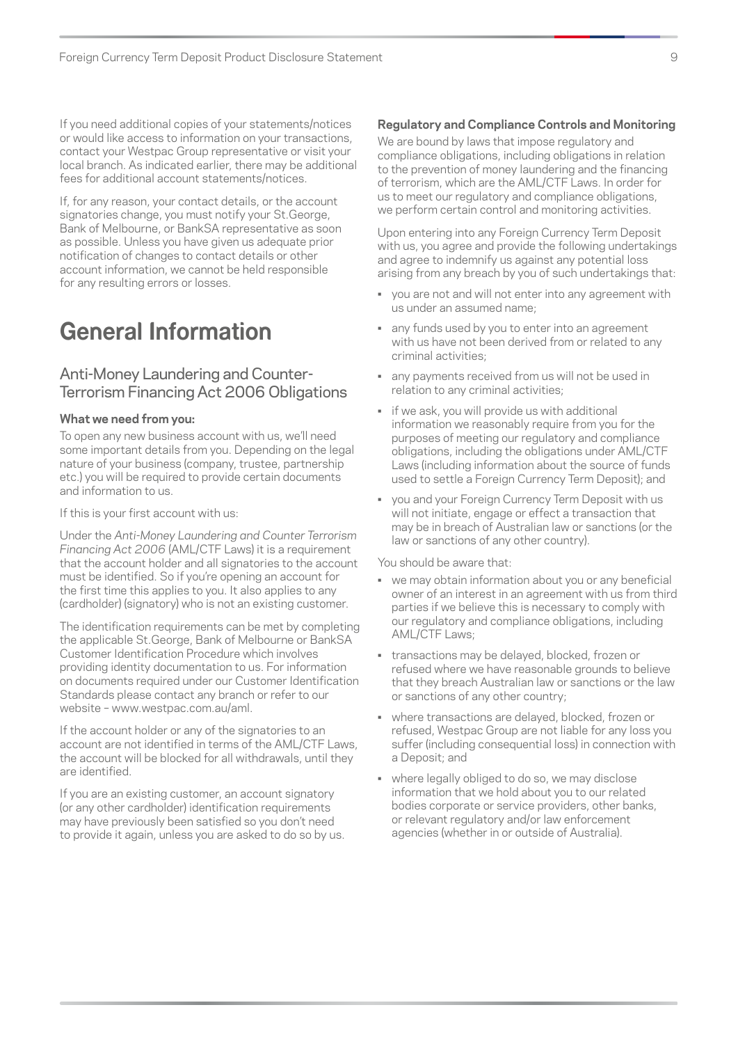<span id="page-10-0"></span>If you need additional copies of your statements/notices or would like access to information on your transactions, contact your Westpac Group representative or visit your local branch. As indicated earlier, there may be additional fees for additional account statements/notices.

If, for any reason, your contact details, or the account signatories change, you must notify your St.George, Bank of Melbourne, or BankSA representative as soon as possible. Unless you have given us adequate prior notification of changes to contact details or other account information, we cannot be held responsible for any resulting errors or losses.

## **General Information**

## Anti-Money Laundering and Counter-Terrorism Financing Act 2006 Obligations

#### **What we need from you:**

To open any new business account with us, we'll need some important details from you. Depending on the legal nature of your business (company, trustee, partnership etc.) you will be required to provide certain documents and information to us.

If this is your first account with us:

Under the *Anti-Money Laundering and Counter Terrorism Financing Act 2006* (AML/CTF Laws) it is a requirement that the account holder and all signatories to the account must be identified. So if you're opening an account for the first time this applies to you. It also applies to any (cardholder) (signatory) who is not an existing customer.

The identification requirements can be met by completing the applicable St.George, Bank of Melbourne or BankSA Customer Identification Procedure which involves providing identity documentation to us. For information on documents required under our Customer Identification Standards please contact any branch or refer to our website – [www.westpac.com.au/aml.](http://www.westpac.com.au/aml)

If the account holder or any of the signatories to an account are not identified in terms of the AML/CTF Laws, the account will be blocked for all withdrawals, until they are identified.

If you are an existing customer, an account signatory (or any other cardholder) identification requirements may have previously been satisfied so you don't need to provide it again, unless you are asked to do so by us.

#### **Regulatory and Compliance Controls and Monitoring**

We are bound by laws that impose regulatory and compliance obligations, including obligations in relation to the prevention of money laundering and the financing of terrorism, which are the AML/CTF Laws. In order for us to meet our regulatory and compliance obligations, we perform certain control and monitoring activities.

Upon entering into any Foreign Currency Term Deposit with us, you agree and provide the following undertakings and agree to indemnify us against any potential loss arising from any breach by you of such undertakings that:

- you are not and will not enter into any agreement with us under an assumed name;
- any funds used by you to enter into an agreement with us have not been derived from or related to any criminal activities;
- any payments received from us will not be used in relation to any criminal activities;
- if we ask, you will provide us with additional information we reasonably require from you for the purposes of meeting our regulatory and compliance obligations, including the obligations under AML/CTF Laws (including information about the source of funds used to settle a Foreign Currency Term Deposit); and
- you and your Foreign Currency Term Deposit with us will not initiate, engage or effect a transaction that may be in breach of Australian law or sanctions (or the law or sanctions of any other country).

You should be aware that:

- we may obtain information about you or any beneficial owner of an interest in an agreement with us from third parties if we believe this is necessary to comply with our regulatory and compliance obligations, including AML/CTF Laws;
- transactions may be delayed, blocked, frozen or refused where we have reasonable grounds to believe that they breach Australian law or sanctions or the law or sanctions of any other country;
- where transactions are delayed, blocked, frozen or refused, Westpac Group are not liable for any loss you suffer (including consequential loss) in connection with a Deposit; and
- where legally obliged to do so, we may disclose information that we hold about you to our related bodies corporate or service providers, other banks, or relevant regulatory and/or law enforcement agencies (whether in or outside of Australia).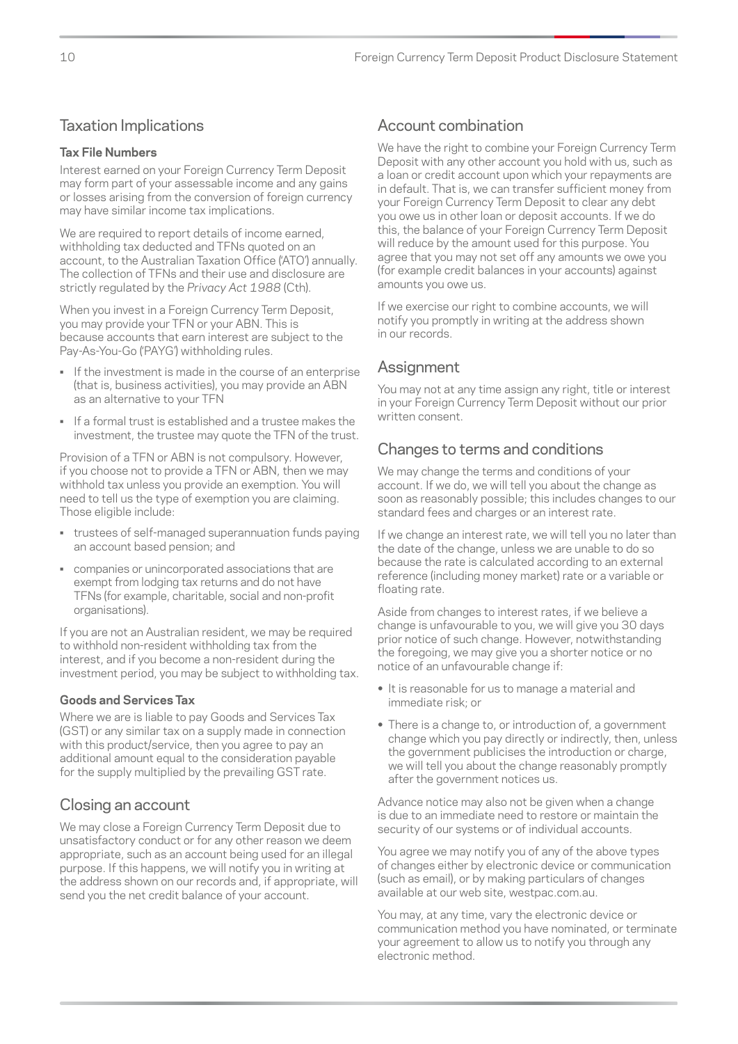## Taxation Implications

### **Tax File Numbers**

Interest earned on your Foreign Currency Term Deposit may form part of your assessable income and any gains or losses arising from the conversion of foreign currency may have similar income tax implications.

We are required to report details of income earned. withholding tax deducted and TFNs quoted on an account, to the Australian Taxation Office ('ATO') annually. The collection of TFNs and their use and disclosure are strictly regulated by the *Privacy Act 1988* (Cth).

When you invest in a Foreign Currency Term Deposit, you may provide your TFN or your ABN. This is because accounts that earn interest are subject to the Pay-As-You-Go ('PAYG') withholding rules.

- If the investment is made in the course of an enterprise (that is, business activities), you may provide an ABN as an alternative to your TFN
- If a formal trust is established and a trustee makes the investment, the trustee may quote the TFN of the trust.

Provision of a TFN or ABN is not compulsory. However, if you choose not to provide a TFN or ABN, then we may withhold tax unless you provide an exemption. You will need to tell us the type of exemption you are claiming. Those eligible include:

- trustees of self-managed superannuation funds paying an account based pension; and
- companies or unincorporated associations that are exempt from lodging tax returns and do not have TFNs (for example, charitable, social and non-profit organisations).

If you are not an Australian resident, we may be required to withhold non-resident withholding tax from the interest, and if you become a non-resident during the investment period, you may be subject to withholding tax.

#### **Goods and Services Tax**

Where we are is liable to pay Goods and Services Tax (GST) or any similar tax on a supply made in connection with this product/service, then you agree to pay an additional amount equal to the consideration payable for the supply multiplied by the prevailing GST rate.

## Closing an account

We may close a Foreign Currency Term Deposit due to unsatisfactory conduct or for any other reason we deem appropriate, such as an account being used for an illegal purpose. If this happens, we will notify you in writing at the address shown on our records and, if appropriate, will send you the net credit balance of your account.

## Account combination

We have the right to combine your Foreign Currency Term Deposit with any other account you hold with us, such as a loan or credit account upon which your repayments are in default. That is, we can transfer sufficient money from your Foreign Currency Term Deposit to clear any debt you owe us in other loan or deposit accounts. If we do this, the balance of your Foreign Currency Term Deposit will reduce by the amount used for this purpose. You agree that you may not set off any amounts we owe you (for example credit balances in your accounts) against amounts you owe us.

If we exercise our right to combine accounts, we will notify you promptly in writing at the address shown in our records.

## Assignment

You may not at any time assign any right, title or interest in your Foreign Currency Term Deposit without our prior written consent.

## Changes to terms and conditions

We may change the terms and conditions of your account. If we do, we will tell you about the change as soon as reasonably possible; this includes changes to our standard fees and charges or an interest rate.

If we change an interest rate, we will tell you no later than the date of the change, unless we are unable to do so because the rate is calculated according to an external reference (including money market) rate or a variable or floating rate.

Aside from changes to interest rates, if we believe a change is unfavourable to you, we will give you 30 days prior notice of such change. However, notwithstanding the foregoing, we may give you a shorter notice or no notice of an unfavourable change if:

- **•** It is reasonable for us to manage a material and immediate risk; or
- **•** There is a change to, or introduction of, a government change which you pay directly or indirectly, then, unless the government publicises the introduction or charge, we will tell you about the change reasonably promptly after the government notices us.

Advance notice may also not be given when a change is due to an immediate need to restore or maintain the security of our systems or of individual accounts.

You agree we may notify you of any of the above types of changes either by electronic device or communication (such as email), or by making particulars of changes available at our web site, westpac.com.au.

You may, at any time, vary the electronic device or communication method you have nominated, or terminate your agreement to allow us to notify you through any electronic method.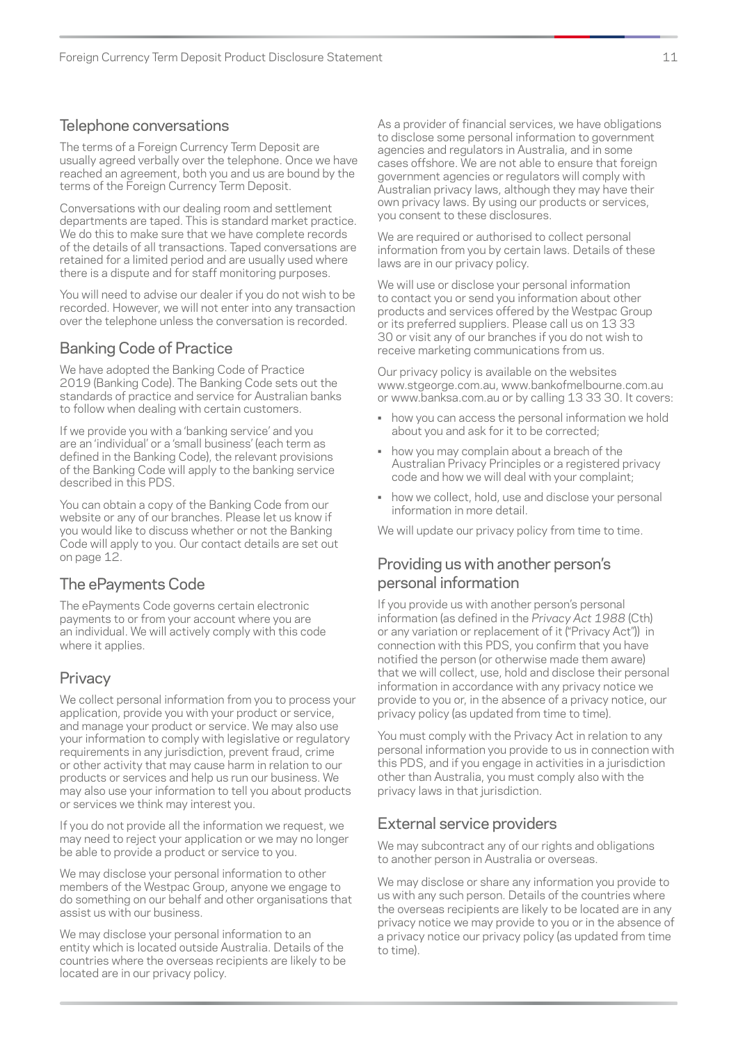## Telephone conversations

The terms of a Foreign Currency Term Deposit are usually agreed verbally over the telephone. Once we have reached an agreement, both you and us are bound by the terms of the Foreign Currency Term Deposit.

Conversations with our dealing room and settlement departments are taped. This is standard market practice. We do this to make sure that we have complete records of the details of all transactions. Taped conversations are retained for a limited period and are usually used where there is a dispute and for staff monitoring purposes.

You will need to advise our dealer if you do not wish to be recorded. However, we will not enter into any transaction over the telephone unless the conversation is recorded.

## Banking Code of Practice

We have adopted the Banking Code of Practice 2019 (Banking Code). The Banking Code sets out the standards of practice and service for Australian banks to follow when dealing with certain customers.

If we provide you with a 'banking service' and you are an 'individual' or a 'small business' (each term as defined in the Banking Code), the relevant provisions of the Banking Code will apply to the banking service described in this PDS.

You can obtain a copy of the Banking Code from our website or any of our branches. Please let us know if you would like to discuss whether or not the Banking Code will apply to you. Our contact details are set out on page 12.

## The ePayments Code

The ePayments Code governs certain electronic payments to or from your account where you are an individual. We will actively comply with this code where it applies.

## **Privacy**

We collect personal information from you to process your application, provide you with your product or service, and manage your product or service. We may also use your information to comply with legislative or regulatory requirements in any jurisdiction, prevent fraud, crime or other activity that may cause harm in relation to our products or services and help us run our business. We may also use your information to tell you about products or services we think may interest you.

If you do not provide all the information we request, we may need to reject your application or we may no longer be able to provide a product or service to you.

We may disclose your personal information to other members of the Westpac Group, anyone we engage to do something on our behalf and other organisations that assist us with our business.

We may disclose your personal information to an entity which is located outside Australia. Details of the countries where the overseas recipients are likely to be located are in our privacy policy.

As a provider of financial services, we have obligations to disclose some personal information to government agencies and regulators in Australia, and in some cases offshore. We are not able to ensure that foreign government agencies or regulators will comply with Australian privacy laws, although they may have their own privacy laws. By using our products or services, you consent to these disclosures.

We are required or authorised to collect personal information from you by certain laws. Details of these laws are in our privacy policy.

We will use or disclose your personal information to contact you or send you information about other products and services offered by the Westpac Group or its preferred suppliers. Please call us on 13 33 30 or visit any of our branches if you do not wish to receive marketing communications from us.

Our privacy policy is available on the websites [www.stgeorge.com.au,](http://www.stgeorge.com.au) [www.bankofmelbourne.com.au](http://www.BankofMelbourne.com.au) or [www.banksa.com.au](http://www.banksa.com.au) or by calling 13 33 30. It covers:

- how you can access the personal information we hold about you and ask for it to be corrected;
- how you may complain about a breach of the Australian Privacy Principles or a registered privacy code and how we will deal with your complaint;
- how we collect, hold, use and disclose your personal information in more detail.

We will update our privacy policy from time to time.

## Providing us with another person's personal information

If you provide us with another person's personal information (as defined in the *Privacy Act 1988* (Cth) or any variation or replacement of it ("Privacy Act")) in connection with this PDS, you confirm that you have notified the person (or otherwise made them aware) that we will collect, use, hold and disclose their personal information in accordance with any privacy notice we provide to you or, in the absence of a privacy notice, our privacy policy (as updated from time to time).

You must comply with the Privacy Act in relation to any personal information you provide to us in connection with this PDS, and if you engage in activities in a jurisdiction other than Australia, you must comply also with the privacy laws in that jurisdiction.

## External service providers

We may subcontract any of our rights and obligations to another person in Australia or overseas.

We may disclose or share any information you provide to us with any such person. Details of the countries where the overseas recipients are likely to be located are in any privacy notice we may provide to you or in the absence of a privacy notice our privacy policy (as updated from time to time).